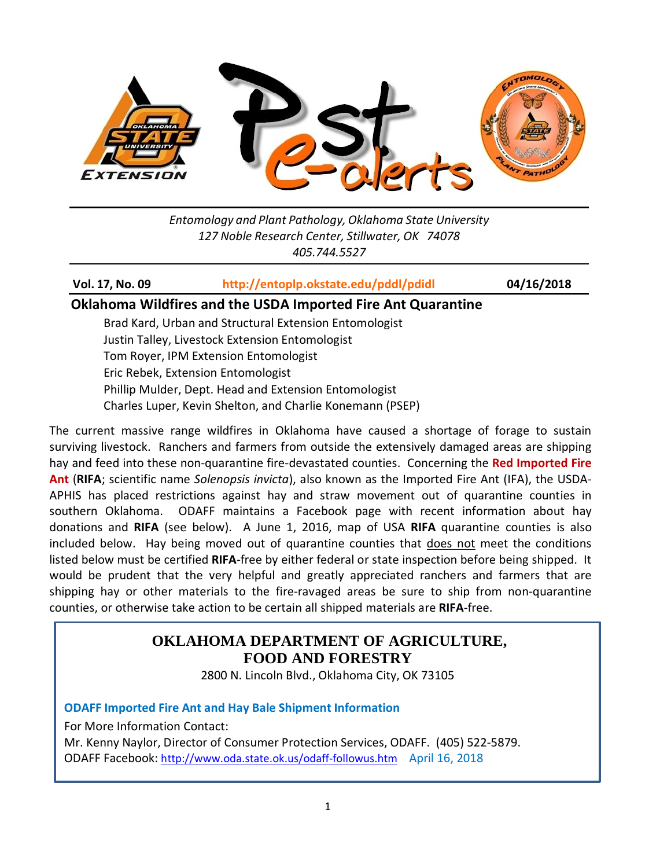

*Entomology and Plant Pathology, Oklahoma State University 127 Noble Research Center, Stillwater, OK 74078 405.744.5527*

**Vol. 17, No. 09 <http://entoplp.okstate.edu/pddl/pdidl> 04/16/2018**

#### **Oklahoma Wildfires and the USDA Imported Fire Ant Quarantine**

Brad Kard, Urban and Structural Extension Entomologist Justin Talley, Livestock Extension Entomologist Tom Royer, IPM Extension Entomologist Eric Rebek, Extension Entomologist Phillip Mulder, Dept. Head and Extension Entomologist Charles Luper, Kevin Shelton, and Charlie Konemann (PSEP)

The current massive range wildfires in Oklahoma have caused a shortage of forage to sustain surviving livestock. Ranchers and farmers from outside the extensively damaged areas are shipping hay and feed into these non-quarantine fire-devastated counties. Concerning the **Red Imported Fire Ant** (**RIFA**; scientific name *Solenopsis invicta*), also known as the Imported Fire Ant (IFA), the USDA-APHIS has placed restrictions against hay and straw movement out of quarantine counties in southern Oklahoma. ODAFF maintains a Facebook page with recent information about hay donations and **RIFA** (see below). A June 1, 2016, map of USA **RIFA** quarantine counties is also included below. Hay being moved out of quarantine counties that does not meet the conditions listed below must be certified **RIFA**-free by either federal or state inspection before being shipped. It would be prudent that the very helpful and greatly appreciated ranchers and farmers that are shipping hay or other materials to the fire-ravaged areas be sure to ship from non-quarantine counties, or otherwise take action to be certain all shipped materials are **RIFA**-free.

# **OKLAHOMA DEPARTMENT OF AGRICULTURE, FOOD AND FORESTRY**

2800 N. Lincoln Blvd., Oklahoma City, OK 73105

#### **ODAFF Imported Fire Ant and Hay Bale Shipment Information**

For More Information Contact:

Mr. Kenny Naylor, Director of Consumer Protection Services, ODAFF. (405) 522-5879. ODAFF Facebook:<http://www.oda.state.ok.us/odaff-followus.htm> April 16, 2018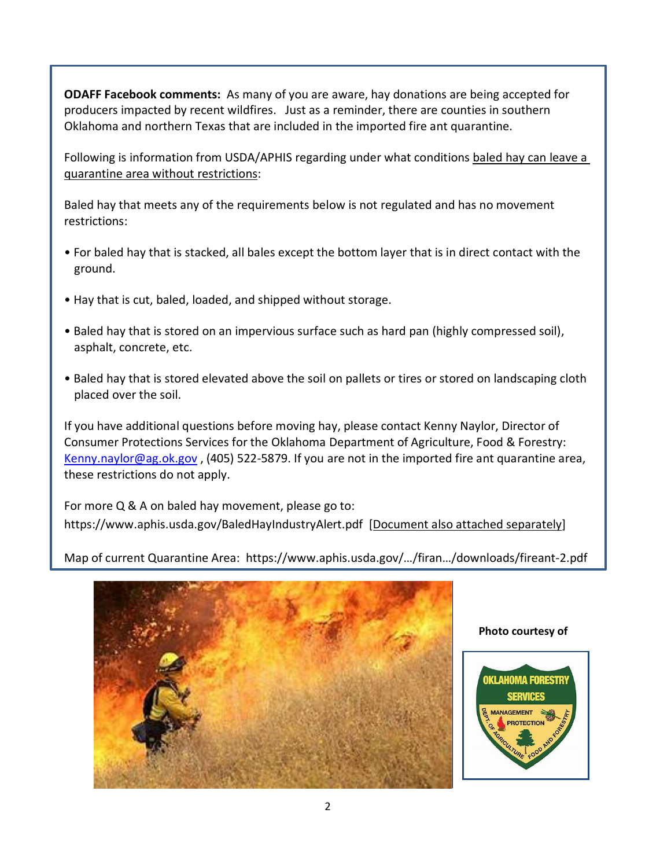**ODAFF Facebook comments:** As many of you are aware, hay donations are being accepted for producers impacted by recent wildfires. Just as a reminder, there are counties in southern Oklahoma and northern Texas that are included in the imported fire ant quarantine.

Following is information from USDA/APHIS regarding under what conditions baled hay can leave a quarantine area without restrictions:

Baled hay that meets any of the requirements below is not regulated and has no movement restrictions:

- For baled hay that is stacked, all bales except the bottom layer that is in direct contact with the ground.
- Hay that is cut, baled, loaded, and shipped without storage.
- Baled hay that is stored on an impervious surface such as hard pan (highly compressed soil), asphalt, concrete, etc.
- Baled hay that is stored elevated above the soil on pallets or tires or stored on landscaping cloth placed over the soil.

If you have additional questions before moving hay, please contact Kenny Naylor, Director of Consumer Protections Services for the Oklahoma Department of Agriculture, Food & Forestry: [Kenny.naylor@ag.ok.gov](mailto:Kenny.naylor@ag.ok.gov) , (405) 522-5879. If you are not in the imported fire ant quarantine area, these restrictions do not apply.

For more Q & A on baled hay movement, please go to: <https://www.aphis.usda.gov/BaledHayIndustryAlert.pdf>[Document also attached separately]

Map of current Quarantine Area: https://www.aphis.usda.gov/…/firan…/downloads/fireant-2.pdf



#### **Photo courtesy of**

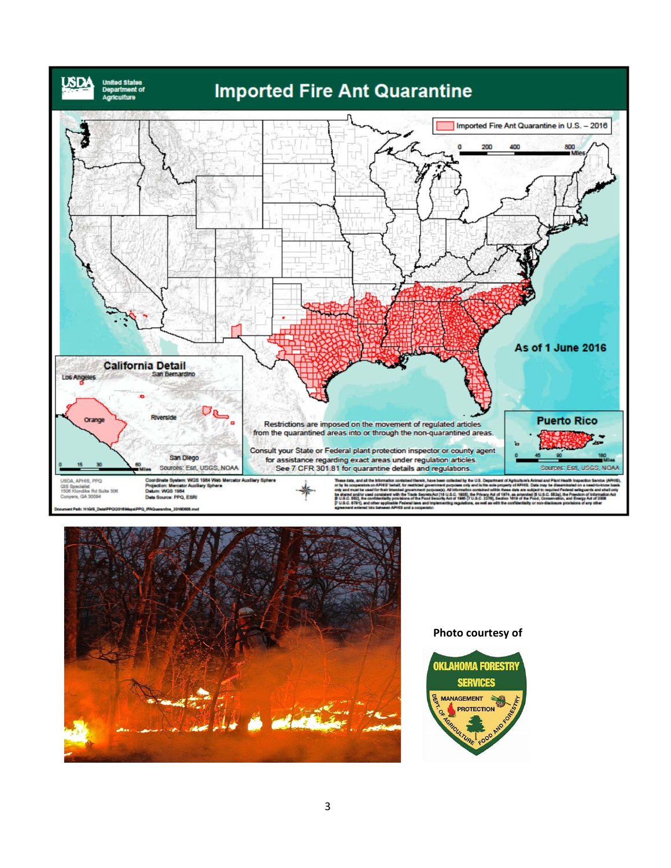



#### **Photo courtesy of**

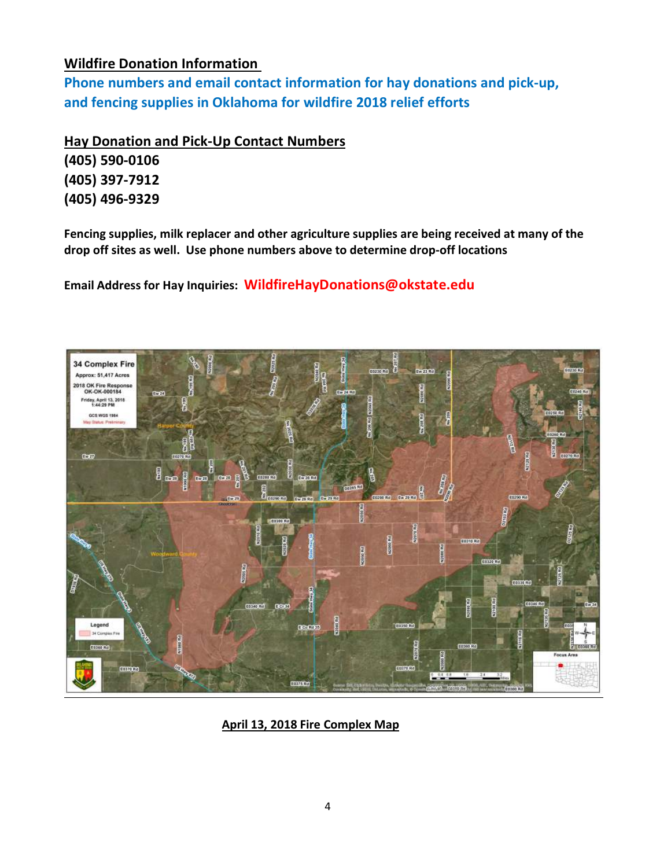# **Wildfire Donation Information**

**Phone numbers and email contact information for hay donations and pick-up, and fencing supplies in Oklahoma for wildfire 2018 relief efforts** 

**Hay Donation and Pick-Up Contact Numbers**

**(405) 590-0106 (405) 397-7912 (405) 496-9329** 

**Fencing supplies, milk replacer and other agriculture supplies are being received at many of the drop off sites as well. Use phone numbers above to determine drop-off locations**

**Email Address for Hay Inquiries: WildfireHayDonations@okstate.edu**



**April 13, 2018 Fire Complex Map**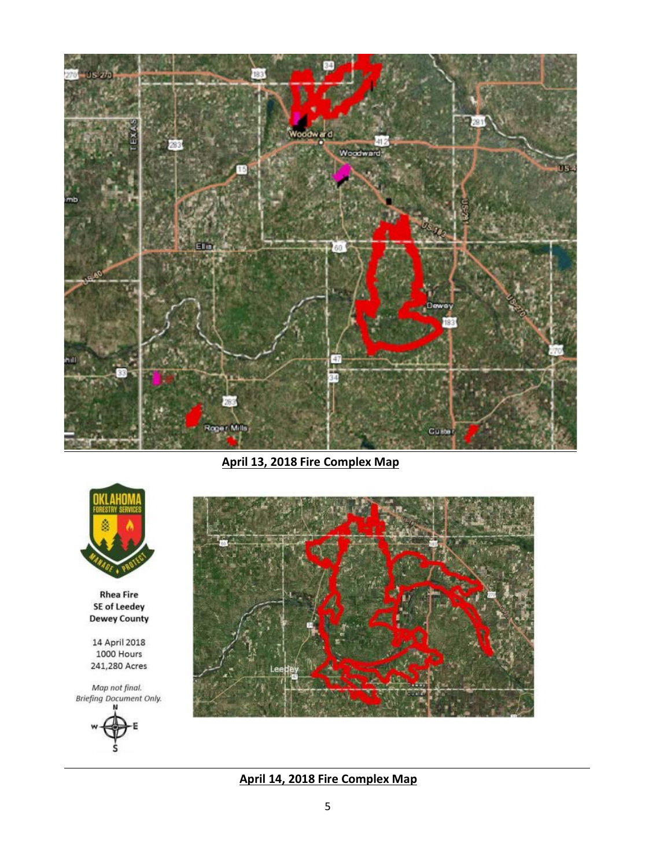

**April 13, 2018 Fire Complex Map**



**Rhea Fire** SE of Leedey Dewey County

14 April 2018 1000 Hours 241,280 Acres

Map not final.<br>Briefing Document Only.





**April 14, 2018 Fire Complex Map**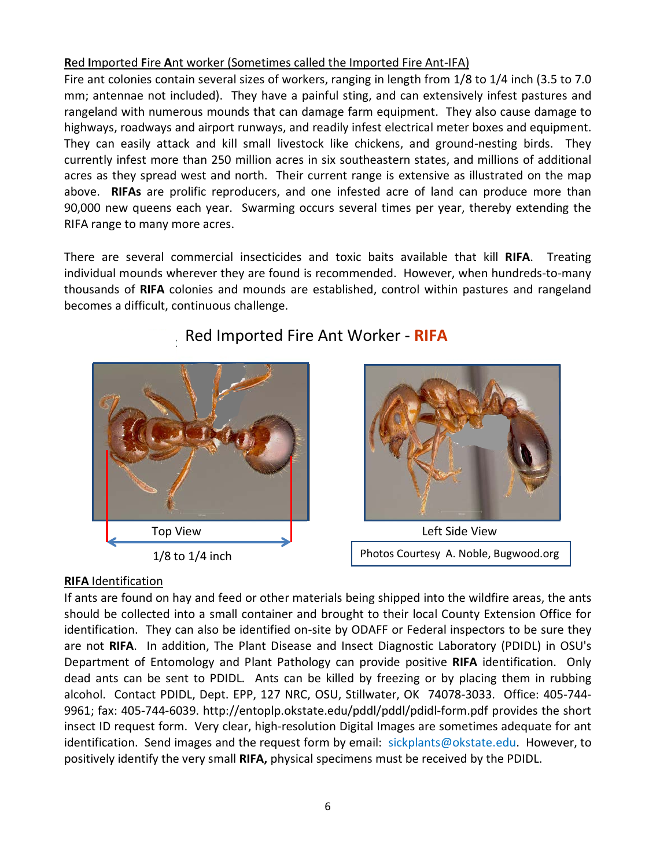### **R**ed **I**mported **F**ire **A**nt worker (Sometimes called the Imported Fire Ant-IFA)

Fire ant colonies contain several sizes of workers, ranging in length from 1/8 to 1/4 inch (3.5 to 7.0 mm; antennae not included). They have a painful sting, and can extensively infest pastures and rangeland with numerous mounds that can damage farm equipment. They also cause damage to highways, roadways and airport runways, and readily infest electrical meter boxes and equipment. They can easily attack and kill small livestock like chickens, and ground-nesting birds. They currently infest more than 250 million acres in six southeastern states, and millions of additional acres as they spread west and north. Their current range is extensive as illustrated on the map above. **RIFAs** are prolific reproducers, and one infested acre of land can produce more than 90,000 new queens each year. Swarming occurs several times per year, thereby extending the RIFA range to many more acres.

There are several commercial insecticides and toxic baits available that kill **RIFA**. Treating individual mounds wherever they are found is recommended. However, when hundreds-to-many thousands of **RIFA** colonies and mounds are established, control within pastures and rangeland becomes a difficult, continuous challenge.



# Red Imported Fire Ant Worker - **RIFA**



Photos Courtesy A. Noble, Bugwood.org

## **RIFA** Identification

If ants are found on hay and feed or other materials being shipped into the wildfire areas, the ants should be collected into a small container and brought to their local County Extension Office for identification. They can also be identified on-site by ODAFF or Federal inspectors to be sure they are not **RIFA**. In addition, The Plant Disease and Insect Diagnostic Laboratory (PDIDL) in OSU's Department of Entomology and Plant Pathology can provide positive **RIFA** identification. Only dead ants can be sent to PDIDL. Ants can be killed by freezing or by placing them in rubbing alcohol. Contact PDIDL, Dept. EPP, 127 NRC, OSU, Stillwater, OK 74078-3033. Office: 405-744- 9961; fax: 405-744-6039. http://entoplp.okstate.edu/pddl/pddl/pdidl-form.pdf provides the short insect ID request form. Very clear, high-resolution Digital Images are sometimes adequate for ant identification. Send images and the request form by email: sickplants@okstate.edu. However, to positively identify the very small **RIFA,** physical specimens must be received by the PDIDL.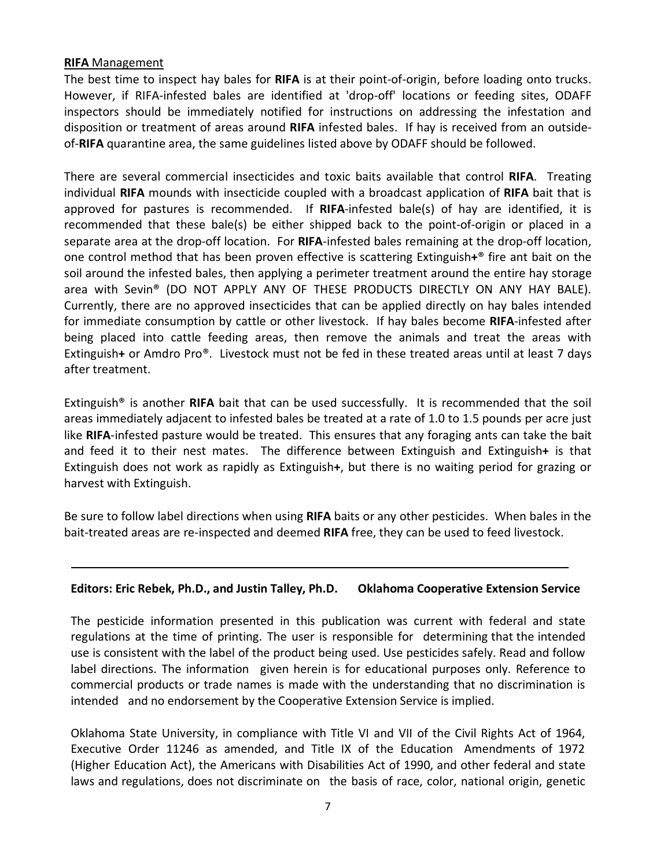#### **RIFA** Management

The best time to inspect hay bales for **RIFA** is at their point-of-origin, before loading onto trucks. However, if RIFA-infested bales are identified at 'drop-off' locations or feeding sites, ODAFF inspectors should be immediately notified for instructions on addressing the infestation and disposition or treatment of areas around **RIFA** infested bales. If hay is received from an outsideof-**RIFA** quarantine area, the same guidelines listed above by ODAFF should be followed.

There are several commercial insecticides and toxic baits available that control **RIFA**. Treating individual **RIFA** mounds with insecticide coupled with a broadcast application of **RIFA** bait that is approved for pastures is recommended. If **RIFA**-infested bale(s) of hay are identified, it is recommended that these bale(s) be either shipped back to the point-of-origin or placed in a separate area at the drop-off location. For **RIFA**-infested bales remaining at the drop-off location, one control method that has been proven effective is scattering Extinguish**+**® fire ant bait on the soil around the infested bales, then applying a perimeter treatment around the entire hay storage area with Sevin® (DO NOT APPLY ANY OF THESE PRODUCTS DIRECTLY ON ANY HAY BALE). Currently, there are no approved insecticides that can be applied directly on hay bales intended for immediate consumption by cattle or other livestock. If hay bales become **RIFA**-infested after being placed into cattle feeding areas, then remove the animals and treat the areas with Extinguish**+** or Amdro Pro®. Livestock must not be fed in these treated areas until at least 7 days after treatment.

Extinguish® is another **RIFA** bait that can be used successfully. It is recommended that the soil areas immediately adjacent to infested bales be treated at a rate of 1.0 to 1.5 pounds per acre just like **RIFA**-infested pasture would be treated. This ensures that any foraging ants can take the bait and feed it to their nest mates. The difference between Extinguish and Extinguish**+** is that Extinguish does not work as rapidly as Extinguish**+**, but there is no waiting period for grazing or harvest with Extinguish.

Be sure to follow label directions when using **RIFA** baits or any other pesticides. When bales in the bait-treated areas are re-inspected and deemed **RIFA** free, they can be used to feed livestock.

#### **Editors: Eric Rebek, Ph.D., and Justin Talley, Ph.D. Oklahoma Cooperative Extension Service**

The pesticide information presented in this publication was current with federal and state regulations at the time of printing. The user is responsible for determining that the intended use is consistent with the label of the product being used. Use pesticides safely. Read and follow label directions. The information given herein is for educational purposes only. Reference to commercial products or trade names is made with the understanding that no discrimination is intended and no endorsement by the Cooperative Extension Service is implied.

Oklahoma State University, in compliance with Title VI and VII of the Civil Rights Act of 1964, Executive Order 11246 as amended, and Title IX of the Education Amendments of 1972 (Higher Education Act), the Americans with Disabilities Act of 1990, and other federal and state laws and regulations, does not discriminate on the basis of race, color, national origin, genetic